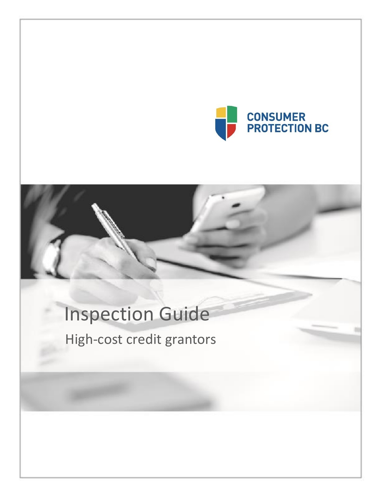

# Inspection Guide

High-cost credit grantors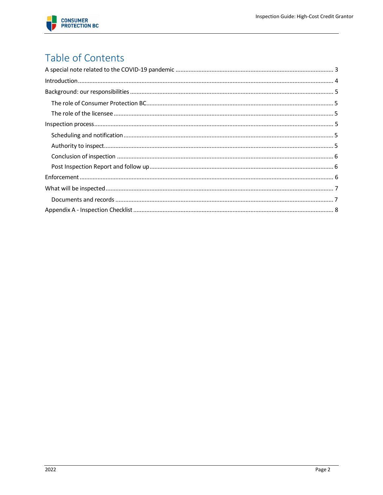

# Table of Contents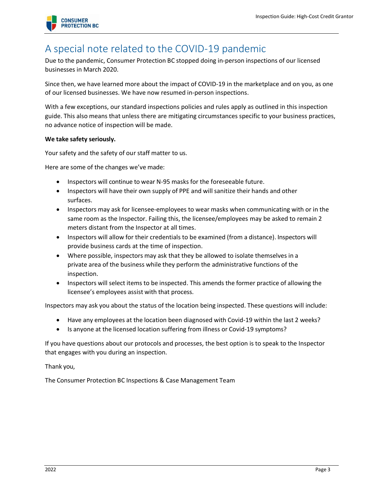

## <span id="page-2-0"></span>A special note related to the COVID-19 pandemic

Due to the pandemic, Consumer Protection BC stopped doing in-person inspections of our licensed businesses in March 2020.

Since then, we have learned more about the impact of COVID-19 in the marketplace and on you, as one of our licensed businesses. We have now resumed in-person inspections.

With a few exceptions, our standard inspections policies and rules apply as outlined in this inspection guide. This also means that unless there are mitigating circumstances specific to your business practices, no advance notice of inspection will be made.

#### **We take safety seriously.**

Your safety and the safety of our staff matter to us.

Here are some of the changes we've made:

- Inspectors will continue to wear N-95 masks for the foreseeable future.
- Inspectors will have their own supply of PPE and will sanitize their hands and other surfaces.
- Inspectors may ask for licensee-employees to wear masks when communicating with or in the same room as the Inspector. Failing this, the licensee/employees may be asked to remain 2 meters distant from the Inspector at all times.
- Inspectors will allow for their credentials to be examined (from a distance). Inspectors will provide business cards at the time of inspection.
- Where possible, inspectors may ask that they be allowed to isolate themselves in a private area of the business while they perform the administrative functions of the inspection.
- Inspectors will select items to be inspected. This amends the former practice of allowing the licensee's employees assist with that process.

Inspectors may ask you about the status of the location being inspected. These questions will include:

- Have any employees at the location been diagnosed with Covid-19 within the last 2 weeks?
- Is anyone at the licensed location suffering from illness or Covid-19 symptoms?

If you have questions about our protocols and processes, the best option is to speak to the Inspector that engages with you during an inspection.

Thank you,

The Consumer Protection BC Inspections & Case Management Team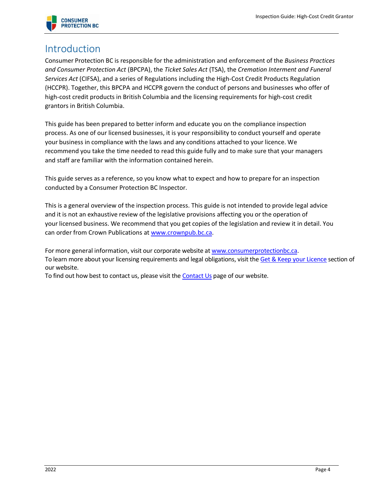

## <span id="page-3-0"></span>Introduction

Consumer Protection BC is responsible for the administration and enforcement of the *Business Practices and Consumer Protection Act* (BPCPA), the *Ticket Sales Act* (TSA), the *Cremation Interment and Funeral Services Act* (CIFSA), and a series of Regulations including the High-Cost Credit Products Regulation (HCCPR). Together, this BPCPA and HCCPR govern the conduct of persons and businesses who offer of high-cost credit products in British Columbia and the licensing requirements for high-cost credit grantors in British Columbia.

This guide has been prepared to better inform and educate you on the compliance inspection process. As one of our licensed businesses, it is your responsibility to conduct yourself and operate your business in compliance with the laws and any conditions attached to your licence. We recommend you take the time needed to read this guide fully and to make sure that your managers and staff are familiar with the information contained herein.

This guide serves as a reference, so you know what to expect and how to prepare for an inspection conducted by a Consumer Protection BC Inspector.

This is a general overview of the inspection process. This guide is not intended to provide legal advice and it is not an exhaustive review of the legislative provisions affecting you or the operation of your licensed business. We recommend that you get copies of the legislation and review it in detail. You can order from Crown Publications at [www.crownpub.bc.ca.](https://www.crownpub.bc.ca/)

For more general information, visit our corporate website a[t www.consumerprotectionbc.ca.](https://can01.safelinks.protection.outlook.com/?url=http%3A%2F%2Fwww.consumerprotectionbc.ca%2F&data=04%7C01%7C%7C6875493e69f04072d4c008da1680143e%7C1f4d7667dc644edcb9df10a6becd02b4%7C1%7C0%7C637847036593436758%7CUnknown%7CTWFpbGZsb3d8eyJWIjoiMC4wLjAwMDAiLCJQIjoiV2luMzIiLCJBTiI6Ik1haWwiLCJXVCI6Mn0%3D%7C3000&sdata=9sI4A0eQughCZOr%2FpH54nrG2uByNWXQnENq%2B6lYoDbg%3D&reserved=0) To learn more about your licensing requirements and legal obligations, visit th[e Get & Keep your Licence](https://can01.safelinks.protection.outlook.com/?url=https%3A%2F%2Fwww.consumerprotectionbc.ca%2Fget-keep-licence%2Fhigh-cost-credit-granting%2Fknow-your-fees%2F&data=04%7C01%7C%7C6875493e69f04072d4c008da1680143e%7C1f4d7667dc644edcb9df10a6becd02b4%7C1%7C0%7C637847036593436758%7CUnknown%7CTWFpbGZsb3d8eyJWIjoiMC4wLjAwMDAiLCJQIjoiV2luMzIiLCJBTiI6Ik1haWwiLCJXVCI6Mn0%3D%7C3000&sdata=F760%2Fx0UV3F7cWeMupDEPCWinL%2FhBo%2FytHAD7PKAHYA%3D&reserved=0) section of our website.

To find out how best to contact us, please visit th[e Contact Us](https://can01.safelinks.protection.outlook.com/?url=https%3A%2F%2Fwww.consumerprotectionbc.ca%2Fcontact-us%2F&data=04%7C01%7C%7C6875493e69f04072d4c008da1680143e%7C1f4d7667dc644edcb9df10a6becd02b4%7C1%7C0%7C637847036593436758%7CUnknown%7CTWFpbGZsb3d8eyJWIjoiMC4wLjAwMDAiLCJQIjoiV2luMzIiLCJBTiI6Ik1haWwiLCJXVCI6Mn0%3D%7C3000&sdata=I%2Br0URKZ%2Bb7XEHiR9TsF2su4YqHuwAzJkBYKDZMS7N4%3D&reserved=0) page of our website.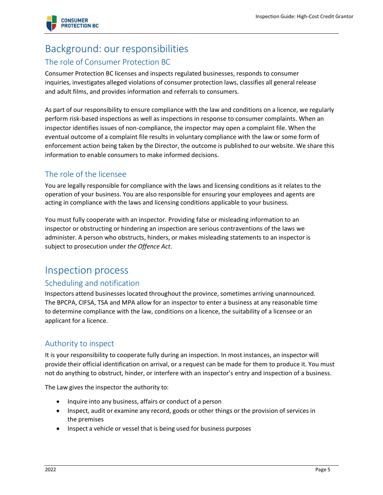

# <span id="page-4-0"></span>Background: our responsibilities

#### <span id="page-4-1"></span>The role of Consumer Protection BC

Consumer Protection BC licenses and inspects regulated businesses, responds to consumer inquiries, investigates alleged violations of consumer protection laws, classifies all general release and adult films, and provides information and referrals to consumers.

As part of our responsibility to ensure compliance with the law and conditions on a licence, we regularly perform risk-based inspections as well as inspections in response to consumer complaints. When an inspector identifies issues of non-compliance, the inspector may open a complaint file. When the eventual outcome of a complaint file results in voluntary compliance with the law or some form of enforcement action being taken by the Director, the outcome is published to our website. We share this information to enable consumers to make informed decisions.

#### <span id="page-4-2"></span>The role of the licensee

You are legally responsible for compliance with the laws and licensing conditions as it relates to the operation of your business. You are also responsible for ensuring your employees and agents are acting in compliance with the laws and licensing conditions applicable to your business.

You must fully cooperate with an inspector. Providing false or misleading information to an inspector or obstructing or hindering an inspection are serious contraventions of the laws we administer. A person who obstructs, hinders, or makes misleading statements to an inspector is subject to prosecution under *the Offence Act*.

### <span id="page-4-3"></span>Inspection process

#### <span id="page-4-4"></span>Scheduling and notification

Inspectors attend businesses located throughout the province, sometimes arriving unannounced. The BPCPA, CIFSA, TSA and MPA allow for an inspector to enter a business at any reasonable time to determine compliance with the law, conditions on a licence, the suitability of a licensee or an applicant for a licence.

#### <span id="page-4-5"></span>Authority to inspect

It is your responsibility to cooperate fully during an inspection. In most instances, an inspector will provide their official identification on arrival, or a request can be made for them to produce it. You must not do anything to obstruct, hinder, or interfere with an inspector's entry and inspection of a business.

The Law gives the inspector the authority to:

- Inquire into any business, affairs or conduct of a person
- Inspect, audit or examine any record, goods or other things or the provision of services in the premises
- Inspect a vehicle or vessel that is being used for business purposes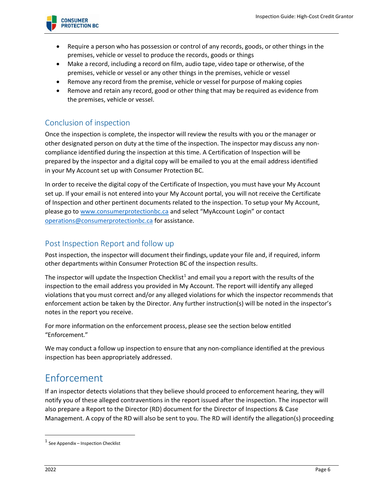

- Require a person who has possession or control of any records, goods, or other things in the premises, vehicle or vessel to produce the records, goods or things
- Make a record, including a record on film, audio tape, video tape or otherwise, of the premises, vehicle or vessel or any other things in the premises, vehicle or vessel
- Remove any record from the premise, vehicle or vessel for purpose of making copies
- Remove and retain any record, good or other thing that may be required as evidence from the premises, vehicle or vessel.

#### <span id="page-5-0"></span>Conclusion of inspection

Once the inspection is complete, the inspector will review the results with you or the manager or other designated person on duty at the time of the inspection. The inspector may discuss any noncompliance identified during the inspection at this time. A Certification of Inspection will be prepared by the inspector and a digital copy will be emailed to you at the email address identified in your My Account set up with Consumer Protection BC.

In order to receive the digital copy of the Certificate of Inspection, you must have your My Account set up. If your email is not entered into your My Account portal, you will not receive the Certificate of Inspection and other pertinent documents related to the inspection. To setup your My Account, please go t[o www.consumerprotectionbc.ca](http://www.consumerprotectionbc.ca/) and select "MyAccount Login" or contact [operations@consumerprotectionbc.ca](mailto:operations@consumerprotectionbc.ca) for assistance.

#### <span id="page-5-1"></span>Post Inspection Report and follow up

Post inspection, the inspector will document their findings, update your file and, if required, inform other departments within Consumer Protection BC of the inspection results.

The inspector will update the Inspection Checklist<sup>1</sup> and email you a report with the results of the inspection to the email address you provided in My Account. The report will identify any alleged violations that you must correct and/or any alleged violations for which the inspector recommends that enforcement action be taken by the Director. Any further instruction(s) will be noted in the inspector's notes in the report you receive.

For more information on the enforcement process, please see the section below entitled "Enforcement."

We may conduct a follow up inspection to ensure that any non-compliance identified at the previous inspection has been appropriately addressed.

## <span id="page-5-2"></span>Enforcement

If an inspector detects violations that they believe should proceed to enforcement hearing, they will notify you of these alleged contraventions in the report issued after the inspection. The inspector will also prepare a Report to the Director (RD) document for the Director of Inspections & Case Management. A copy of the RD will also be sent to you. The RD will identify the allegation(s) proceeding

 $1$  See Appendix – Inspection Checklist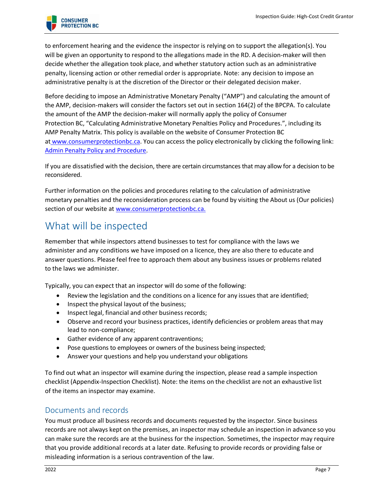

to enforcement hearing and the evidence the inspector is relying on to support the allegation(s). You will be given an opportunity to respond to the allegations made in the RD. A decision-maker will then decide whether the allegation took place, and whether statutory action such as an administrative penalty, licensing action or other remedial order is appropriate. Note: any decision to impose an administrative penalty is at the discretion of the Director or their delegated decision maker.

Before deciding to impose an Administrative Monetary Penalty ("AMP") and calculating the amount of the AMP, decision-makers will consider the factors set out in section 164(2) of the BPCPA. To calculate the amount of the AMP the decision-maker will normally apply the policy of Consumer Protection BC, "Calculating Administrative Monetary Penalties Policy and Procedures.", including its AMP Penalty Matrix. This policy is available on the website of Consumer Protection BC at [www.consumerprotectionbc.ca.](http://www.consumerprotectionbc.ca/) You can access the policy electronically by clicking the following link: [Admin Penalty Policy and Procedure.](https://www.consumerprotectionbc.ca/wordpress/wp-content/uploads/2019/11/Policy-and-procedures-calculating-administrative-penalty-amounts-November-25-2019.pdf)

If you are dissatisfied with the decision, there are certain circumstances that may allow for a decision to be reconsidered.

Further information on the policies and procedures relating to the calculation of administrative monetary penalties and the reconsideration process can be found by visiting the About us (Our policies) section of our website at [www.consumerprotectionbc.ca.](http://www.consumerprotectionbc.ca/)

# <span id="page-6-0"></span>What will be inspected

Remember that while inspectors attend businesses to test for compliance with the laws we administer and any conditions we have imposed on a licence, they are also there to educate and answer questions. Please feel free to approach them about any business issues or problems related to the laws we administer.

Typically, you can expect that an inspector will do some of the following:

- Review the legislation and the conditions on a licence for any issues that are identified;
- Inspect the physical layout of the business;
- Inspect legal, financial and other business records;
- Observe and record your business practices, identify deficiencies or problem areas that may lead to non-compliance;
- Gather evidence of any apparent contraventions;
- Pose questions to employees or owners of the business being inspected;
- Answer your questions and help you understand your obligations

To find out what an inspector will examine during the inspection, please read a sample inspection checklist (Appendix-Inspection Checklist). Note: the items on the checklist are not an exhaustive list of the items an inspector may examine.

#### <span id="page-6-1"></span>Documents and records

You must produce all business records and documents requested by the inspector. Since business records are not always kept on the premises, an inspector may schedule an inspection in advance so you can make sure the records are at the business for the inspection. Sometimes, the inspector may require that you provide additional records at a later date. Refusing to provide records or providing false or misleading information is a serious contravention of the law.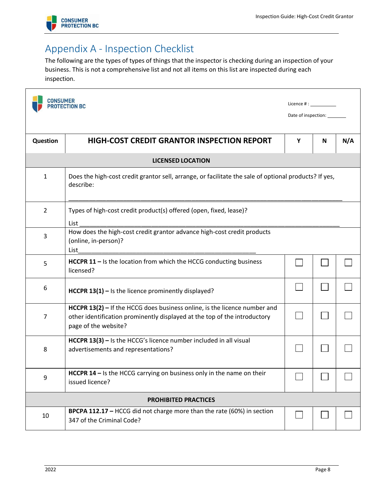

# <span id="page-7-0"></span>Appendix A - Inspection Checklist

The following are the types of types of things that the inspector is checking during an inspection of your business. This is not a comprehensive list and not all items on this list are inspected during each inspection.

| CONSUMER                                                                                                                | <b>PROTECTION BC</b>                                                                                                                                                                    | Licence $\#$ : $\_\_$<br>Date of inspection: _______ |   |     |
|-------------------------------------------------------------------------------------------------------------------------|-----------------------------------------------------------------------------------------------------------------------------------------------------------------------------------------|------------------------------------------------------|---|-----|
| <b>Question</b>                                                                                                         | <b>HIGH-COST CREDIT GRANTOR INSPECTION REPORT</b>                                                                                                                                       | Y                                                    | N | N/A |
|                                                                                                                         | <b>LICENSED LOCATION</b>                                                                                                                                                                |                                                      |   |     |
| Does the high-cost credit grantor sell, arrange, or facilitate the sale of optional products? If yes,<br>1<br>describe: |                                                                                                                                                                                         |                                                      |   |     |
| $\overline{2}$                                                                                                          | Types of high-cost credit product(s) offered (open, fixed, lease)?<br>List                                                                                                              |                                                      |   |     |
| 3                                                                                                                       | How does the high-cost credit grantor advance high-cost credit products<br>(online, in-person)?<br>List                                                                                 |                                                      |   |     |
| 5                                                                                                                       | HCCPR 11 - Is the location from which the HCCG conducting business<br>licensed?                                                                                                         |                                                      |   |     |
| 6                                                                                                                       | HCCPR $13(1)$ – Is the licence prominently displayed?                                                                                                                                   |                                                      |   |     |
| 7                                                                                                                       | <b>HCCPR 13(2)</b> $-$ If the HCCG does business online, is the licence number and<br>other identification prominently displayed at the top of the introductory<br>page of the website? |                                                      |   |     |
| 8                                                                                                                       | HCCPR 13(3) - Is the HCCG's licence number included in all visual<br>advertisements and representations?                                                                                |                                                      |   |     |
| 9                                                                                                                       | HCCPR 14 - Is the HCCG carrying on business only in the name on their<br>issued licence?                                                                                                |                                                      |   |     |
|                                                                                                                         | <b>PROHIBITED PRACTICES</b>                                                                                                                                                             |                                                      |   |     |
| 10                                                                                                                      | BPCPA 112.17 - HCCG did not charge more than the rate (60%) in section<br>347 of the Criminal Code?                                                                                     |                                                      |   |     |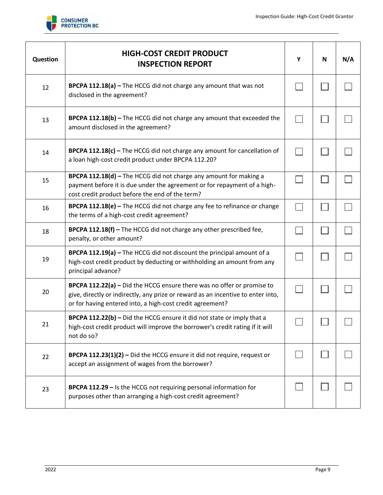

| Question | <b>HIGH-COST CREDIT PRODUCT</b><br><b>INSPECTION REPORT</b>                                                                                                                                                             | Υ | N | N/A |
|----------|-------------------------------------------------------------------------------------------------------------------------------------------------------------------------------------------------------------------------|---|---|-----|
| 12       | BPCPA 112.18(a) - The HCCG did not charge any amount that was not<br>disclosed in the agreement?                                                                                                                        |   |   |     |
| 13       | <b>BPCPA 112.18(b)</b> – The HCCG did not charge any amount that exceeded the<br>amount disclosed in the agreement?                                                                                                     |   |   |     |
| 14       | BPCPA 112.18(c) - The HCCG did not charge any amount for cancellation of<br>a loan high-cost credit product under BPCPA 112.20?                                                                                         |   |   |     |
| 15       | BPCPA 112.18(d) - The HCCG did not charge any amount for making a<br>payment before it is due under the agreement or for repayment of a high-<br>cost credit product before the end of the term?                        |   |   |     |
| 16       | BPCPA 112.18(e) - The HCCG did not charge any fee to refinance or change<br>the terms of a high-cost credit agreement?                                                                                                  |   |   |     |
| 18       | BPCPA 112.18(f) - The HCCG did not charge any other prescribed fee,<br>penalty, or other amount?                                                                                                                        |   |   |     |
| 19       | <b>BPCPA 112.19(a)</b> $-$ The HCCG did not discount the principal amount of a<br>high-cost credit product by deducting or withholding an amount from any<br>principal advance?                                         |   |   |     |
| 20       | BPCPA 112.22(a) - Did the HCCG ensure there was no offer or promise to<br>give, directly or indirectly, any prize or reward as an incentive to enter into,<br>or for having entered into, a high-cost credit agreement? |   |   |     |
| 21       | <b>BPCPA 112.22(b)</b> – Did the HCCG ensure it did not state or imply that a<br>high-cost credit product will improve the borrower's credit rating if it will<br>not do so?                                            |   |   |     |
| 22       | BPCPA 112.23(1)(2) - Did the HCCG ensure it did not require, request or<br>accept an assignment of wages from the borrower?                                                                                             |   |   |     |
| 23       | <b>BPCPA 112.29 - Is the HCCG not requiring personal information for</b><br>purposes other than arranging a high-cost credit agreement?                                                                                 |   |   |     |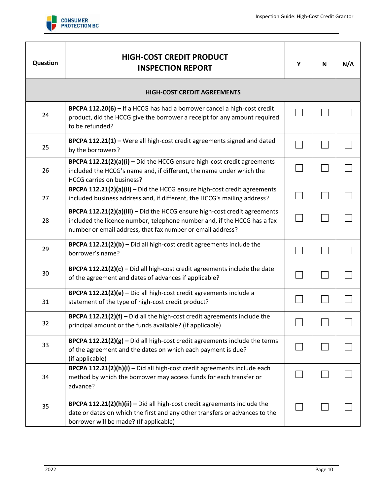

| Question | <b>HIGH-COST CREDIT PRODUCT</b><br><b>INSPECTION REPORT</b>                                                                                                                                                         | Υ | N | N/A |
|----------|---------------------------------------------------------------------------------------------------------------------------------------------------------------------------------------------------------------------|---|---|-----|
|          | <b>HIGH-COST CREDIT AGREEMENTS</b>                                                                                                                                                                                  |   |   |     |
| 24       | <b>BPCPA 112.20(6)</b> – If a HCCG has had a borrower cancel a high-cost credit<br>product, did the HCCG give the borrower a receipt for any amount required<br>to be refunded?                                     |   |   |     |
| 25       | BPCPA 112.21(1) - Were all high-cost credit agreements signed and dated<br>by the borrowers?                                                                                                                        |   |   |     |
| 26       | BPCPA 112.21(2)(a)(i) - Did the HCCG ensure high-cost credit agreements<br>included the HCCG's name and, if different, the name under which the<br>HCCG carries on business?                                        |   |   |     |
| 27       | BPCPA 112.21(2)(a)(ii) - Did the HCCG ensure high-cost credit agreements<br>included business address and, if different, the HCCG's mailing address?                                                                |   |   |     |
| 28       | BPCPA 112.21(2)(a)(iii) - Did the HCCG ensure high-cost credit agreements<br>included the licence number, telephone number and, if the HCCG has a fax<br>number or email address, that fax number or email address? |   |   |     |
| 29       | BPCPA 112.21(2)(b) - Did all high-cost credit agreements include the<br>borrower's name?                                                                                                                            |   |   |     |
| 30       | <b>BPCPA 112.21(2)(c)</b> $-$ Did all high-cost credit agreements include the date<br>of the agreement and dates of advances if applicable?                                                                         |   |   |     |
| 31       | BPCPA 112.21(2)(e) - Did all high-cost credit agreements include a<br>statement of the type of high-cost credit product?                                                                                            |   |   |     |
| 32       | <b>BPCPA 112.21(2)(f)</b> $-$ Did all the high-cost credit agreements include the<br>principal amount or the funds available? (if applicable)                                                                       |   |   |     |
| 33       | <b>BPCPA 112.21(2)(g)</b> $-$ Did all high-cost credit agreements include the terms<br>of the agreement and the dates on which each payment is due?<br>(if applicable)                                              |   |   |     |
| 34       | BPCPA 112.21(2)(h)(i) - Did all high-cost credit agreements include each<br>method by which the borrower may access funds for each transfer or<br>advance?                                                          |   |   |     |
| 35       | BPCPA 112.21(2)(h)(ii) - Did all high-cost credit agreements include the<br>date or dates on which the first and any other transfers or advances to the<br>borrower will be made? (If applicable)                   |   |   |     |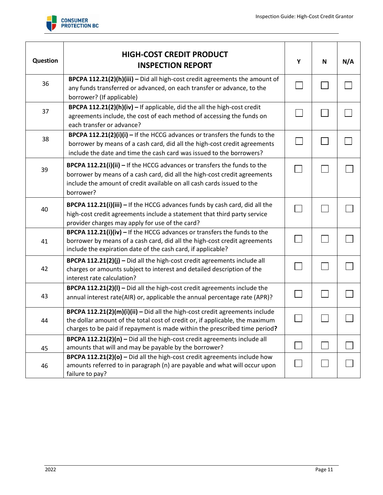

| Question | <b>HIGH-COST CREDIT PRODUCT</b><br><b>INSPECTION REPORT</b>                                                                                                                                                                                           | Y | N | N/A |
|----------|-------------------------------------------------------------------------------------------------------------------------------------------------------------------------------------------------------------------------------------------------------|---|---|-----|
| 36       | BPCPA 112.21(2)(h)(iii) - Did all high-cost credit agreements the amount of<br>any funds transferred or advanced, on each transfer or advance, to the<br>borrower? (If applicable)                                                                    |   |   |     |
| 37       | BPCPA 112.21(2)(h)(iv) - If applicable, did the all the high-cost credit<br>agreements include, the cost of each method of accessing the funds on<br>each transfer or advance?                                                                        |   |   |     |
| 38       | <b>BPCPA 112.21(2)(i)(i)</b> $-$ If the HCCG advances or transfers the funds to the<br>borrower by means of a cash card, did all the high-cost credit agreements<br>include the date and time the cash card was issued to the borrowers?              |   |   |     |
| 39       | <b>BPCPA 112.21(i)(ii)</b> $-$ If the HCCG advances or transfers the funds to the<br>borrower by means of a cash card, did all the high-cost credit agreements<br>include the amount of credit available on all cash cards issued to the<br>borrower? |   |   |     |
| 40       | BPCPA 112.21(i)(iii) - If the HCCG advances funds by cash card, did all the<br>high-cost credit agreements include a statement that third party service<br>provider charges may apply for use of the card?                                            |   |   |     |
| 41       | BPCPA 112.21(i)(iv) - If the HCCG advances or transfers the funds to the<br>borrower by means of a cash card, did all the high-cost credit agreements<br>include the expiration date of the cash card, if applicable?                                 |   |   |     |
| 42       | BPCPA 112.21(2)(j) - Did all the high-cost credit agreements include all<br>charges or amounts subject to interest and detailed description of the<br>interest rate calculation?                                                                      |   |   |     |
| 43       | <b>BPCPA 112.21(2)(I)</b> $-$ Did all the high-cost credit agreements include the<br>annual interest rate(AIR) or, applicable the annual percentage rate (APR)?                                                                                       |   |   |     |
| 44       | BPCPA 112.21(2)(m)(i)(ii) - Did all the high-cost credit agreements include<br>the dollar amount of the total cost of credit or, if applicable, the maximum<br>charges to be paid if repayment is made within the prescribed time period?             |   |   |     |
| 45       | BPCPA 112.21(2)(n) - Did all the high-cost credit agreements include all<br>amounts that will and may be payable by the borrower?                                                                                                                     |   |   |     |
| 46       | BPCPA 112.21(2)(o) - Did all the high-cost credit agreements include how<br>amounts referred to in paragraph (n) are payable and what will occur upon<br>failure to pay?                                                                              |   |   |     |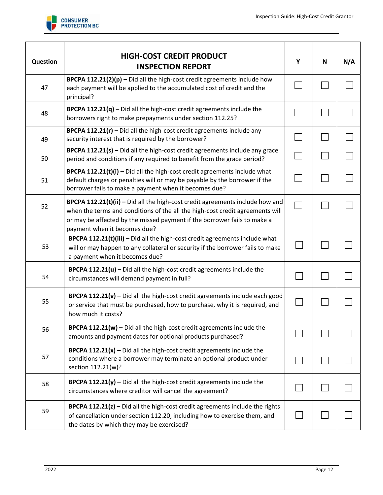

| <b>Question</b> | <b>HIGH-COST CREDIT PRODUCT</b><br><b>INSPECTION REPORT</b>                                                                                                                                                                                                                | Y | N | N/A |
|-----------------|----------------------------------------------------------------------------------------------------------------------------------------------------------------------------------------------------------------------------------------------------------------------------|---|---|-----|
| 47              | BPCPA 112.21(2)(p) - Did all the high-cost credit agreements include how<br>each payment will be applied to the accumulated cost of credit and the<br>principal?                                                                                                           |   |   |     |
| 48              | <b>BPCPA 112.21(q)</b> – Did all the high-cost credit agreements include the<br>borrowers right to make prepayments under section 112.25?                                                                                                                                  |   |   |     |
| 49              | <b>BPCPA 112.21(r)</b> – Did all the high-cost credit agreements include any<br>security interest that is required by the borrower?                                                                                                                                        |   |   |     |
| 50              | BPCPA 112.21(s) - Did all the high-cost credit agreements include any grace<br>period and conditions if any required to benefit from the grace period?                                                                                                                     |   |   |     |
| 51              | BPCPA 112.21(t)(i) - Did all the high-cost credit agreements include what<br>default charges or penalties will or may be payable by the borrower if the<br>borrower fails to make a payment when it becomes due?                                                           |   |   |     |
| 52              | BPCPA 112.21(t)(ii) - Did all the high-cost credit agreements include how and<br>when the terms and conditions of the all the high-cost credit agreements will<br>or may be affected by the missed payment if the borrower fails to make a<br>payment when it becomes due? |   |   |     |
| 53              | BPCPA 112.21(t)(iii) - Did all the high-cost credit agreements include what<br>will or may happen to any collateral or security if the borrower fails to make<br>a payment when it becomes due?                                                                            |   |   |     |
| 54              | <b>BPCPA 112.21(u)</b> $-$ Did all the high-cost credit agreements include the<br>circumstances will demand payment in full?                                                                                                                                               |   |   |     |
| 55              | <b>BPCPA 112.21(v)</b> $-$ Did all the high-cost credit agreements include each good<br>or service that must be purchased, how to purchase, why it is required, and<br>how much it costs?                                                                                  |   |   |     |
| 56              | <b>BPCPA 112.21(w)</b> $-$ Did all the high-cost credit agreements include the<br>amounts and payment dates for optional products purchased?                                                                                                                               |   |   |     |
| 57              | <b>BPCPA 112.21(x)</b> – Did all the high-cost credit agreements include the<br>conditions where a borrower may terminate an optional product under<br>section 112.21(w)?                                                                                                  |   |   |     |
| 58              | <b>BPCPA 112.21(y)</b> $-$ Did all the high-cost credit agreements include the<br>circumstances where creditor will cancel the agreement?                                                                                                                                  |   |   |     |
| 59              | BPCPA 112.21(z) - Did all the high-cost credit agreements include the rights<br>of cancellation under section 112.20, including how to exercise them, and<br>the dates by which they may be exercised?                                                                     |   |   |     |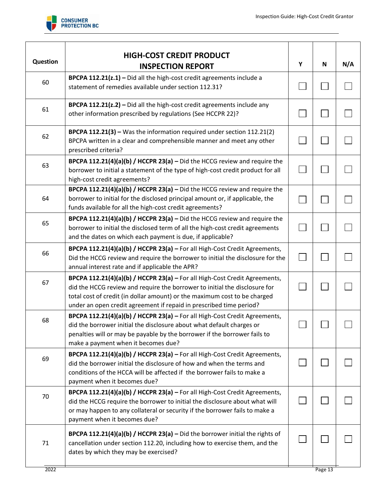

| <b>Question</b> | <b>HIGH-COST CREDIT PRODUCT</b><br><b>INSPECTION REPORT</b>                                                                                                                                                                                                                                                  | Y            | N       | N/A |
|-----------------|--------------------------------------------------------------------------------------------------------------------------------------------------------------------------------------------------------------------------------------------------------------------------------------------------------------|--------------|---------|-----|
| 60              | <b>BPCPA 112.21(z.1)</b> $-$ Did all the high-cost credit agreements include a<br>statement of remedies available under section 112.31?                                                                                                                                                                      |              |         |     |
| 61              | BPCPA 112.21(z.2) - Did all the high-cost credit agreements include any<br>other information prescribed by regulations (See HCCPR 22)?                                                                                                                                                                       |              |         |     |
| 62              | BPCPA 112.21(3) - Was the information required under section 112.21(2)<br>BPCPA written in a clear and comprehensible manner and meet any other<br>prescribed criteria?                                                                                                                                      |              |         |     |
| 63              | BPCPA 112.21(4)(a)(b) / HCCPR 23(a) $-$ Did the HCCG review and require the<br>borrower to initial a statement of the type of high-cost credit product for all<br>high-cost credit agreements?                                                                                                               |              |         |     |
| 64              | BPCPA 112.21(4)(a)(b) / HCCPR 23(a) $-$ Did the HCCG review and require the<br>borrower to initial for the disclosed principal amount or, if applicable, the<br>funds available for all the high-cost credit agreements?                                                                                     |              |         |     |
| 65              | BPCPA 112.21(4)(a)(b) / HCCPR 23(a) $-$ Did the HCCG review and require the<br>borrower to initial the disclosed term of all the high-cost credit agreements<br>and the dates on which each payment is due, if applicable?                                                                                   |              |         |     |
| 66              | BPCPA 112.21(4)(a)(b) / HCCPR 23(a) - For all High-Cost Credit Agreements,<br>Did the HCCG review and require the borrower to initial the disclosure for the<br>annual interest rate and if applicable the APR?                                                                                              | $\mathbf{L}$ |         |     |
| 67              | BPCPA 112.21(4)(a)(b) / HCCPR 23(a) - For all High-Cost Credit Agreements,<br>did the HCCG review and require the borrower to initial the disclosure for<br>total cost of credit (in dollar amount) or the maximum cost to be charged<br>under an open credit agreement if repaid in prescribed time period? |              |         |     |
| 68              | BPCPA 112.21(4)(a)(b) / HCCPR 23(a) - For all High-Cost Credit Agreements,<br>did the borrower initial the disclosure about what default charges or<br>penalties will or may be payable by the borrower if the borrower fails to<br>make a payment when it becomes due?                                      |              |         |     |
| 69              | BPCPA 112.21(4)(a)(b) / HCCPR 23(a) - For all High-Cost Credit Agreements,<br>did the borrower initial the disclosure of how and when the terms and<br>conditions of the HCCA will be affected if the borrower fails to make a<br>payment when it becomes due?                                               |              |         |     |
| 70              | BPCPA 112.21(4)(a)(b) / HCCPR 23(a) - For all High-Cost Credit Agreements,<br>did the HCCG require the borrower to initial the disclosure about what will<br>or may happen to any collateral or security if the borrower fails to make a<br>payment when it becomes due?                                     |              |         |     |
| 71              | <b>BPCPA 112.21(4)(a)(b) / HCCPR 23(a)</b> $-$ Did the borrower initial the rights of<br>cancellation under section 112.20, including how to exercise them, and the<br>dates by which they may be exercised?                                                                                                 |              |         |     |
| 2022            |                                                                                                                                                                                                                                                                                                              |              | Page 13 |     |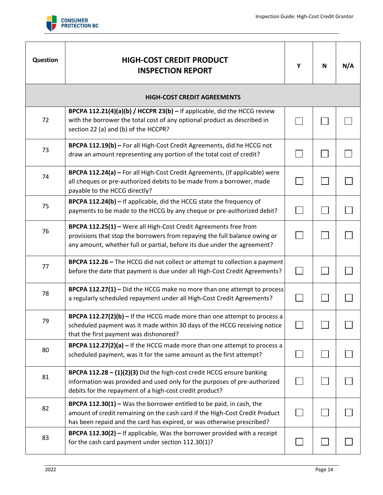

| <b>Question</b> | <b>HIGH-COST CREDIT PRODUCT</b><br><b>INSPECTION REPORT</b>                                                                                                                                                                   | Υ | N | N/A |
|-----------------|-------------------------------------------------------------------------------------------------------------------------------------------------------------------------------------------------------------------------------|---|---|-----|
|                 | <b>HIGH-COST CREDIT AGREEMENTS</b>                                                                                                                                                                                            |   |   |     |
| 72              | <b>BPCPA 112.21(4)(a)(b) / HCCPR 23(b)</b> – If applicable, did the HCCG review<br>with the borrower the total cost of any optional product as described in<br>section 22 (a) and (b) of the HCCPR?                           |   |   |     |
| 73              | BPCPA 112.19(b) - For all High-Cost Credit Agreements, did he HCCG not<br>draw an amount representing any portion of the total cost of credit?                                                                                |   |   |     |
| 74              | BPCPA 112.24(a) - For all High-Cost Credit Agreements, (If applicable) were<br>all cheques or pre-authorized debits to be made from a borrower, made<br>payable to the HCCG directly?                                         |   |   |     |
| 75              | BPCPA 112.24(b) - If applicable, did the HCCG state the frequency of<br>payments to be made to the HCCG by any cheque or pre-authorized debit?                                                                                |   |   |     |
| 76              | BPCPA 112.25(1) - Were all High-Cost Credit Agreements free from<br>provisions that stop the borrowers from repaying the full balance owing or<br>any amount, whether full or partial, before its due under the agreement?    |   |   |     |
| 77              | BPCPA 112.26 - The HCCG did not collect or attempt to collection a payment<br>before the date that payment is due under all High-Cost Credit Agreements?                                                                      |   |   |     |
| 78              | BPCPA 112.27(1) - Did the HCCG make no more than one attempt to process<br>a regularly scheduled repayment under all High-Cost Credit Agreements?                                                                             |   |   |     |
| 79              | <b>BPCPA 112.27(2)(b)</b> $-$ If the HCCG made more than one attempt to process a<br>scheduled payment was it made within 30 days of the HCCG receiving notice<br>that the first payment was dishonored?                      |   |   |     |
| 80              | <b>BPCPA 112.27(2)(a)</b> $-$ If the HCCG made more than one attempt to process a<br>scheduled payment, was it for the same amount as the first attempt?                                                                      |   |   |     |
| 81              | <b>BPCPA 112.28 - (1)(2)(3)</b> Did the high-cost credit HCCG ensure banking<br>information was provided and used only for the purposes of pre-authorized<br>debits for the repayment of a high-cost credit product?          |   |   |     |
| 82              | BPCPA 112.30(1) - Was the borrower entitled to be paid, in cash, the<br>amount of credit remaining on the cash card if the High-Cost Credit Product<br>has been repaid and the card has expired, or was otherwise prescribed? |   |   |     |
| 83              | BPCPA 112.30(2) - If applicable, Was the borrower provided with a receipt<br>for the cash card payment under section 112.30(1)?                                                                                               |   |   |     |